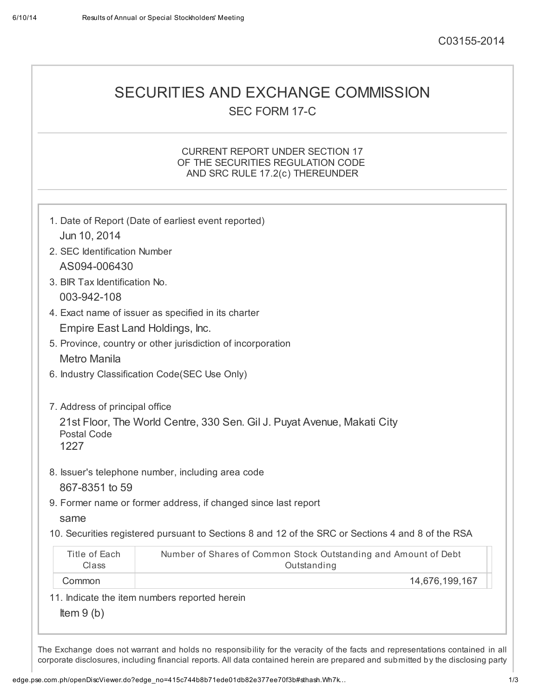## SECURITIES AND EXCHANGE COMMISSION SEC FORM 17-C

### CURRENT REPORT UNDER SECTION 17 OF THE SECURITIES REGULATION CODE AND SRC RULE 17.2(c) THEREUNDER

| Jun 10, 2014                                  | 1. Date of Report (Date of earliest event reported)                                               |  |  |  |
|-----------------------------------------------|---------------------------------------------------------------------------------------------------|--|--|--|
| 2. SEC Identification Number                  |                                                                                                   |  |  |  |
| AS094-006430                                  |                                                                                                   |  |  |  |
| 3. BIR Tax Identification No.                 |                                                                                                   |  |  |  |
| 003-942-108                                   |                                                                                                   |  |  |  |
|                                               | 4. Exact name of issuer as specified in its charter                                               |  |  |  |
| Empire East Land Holdings, Inc.               |                                                                                                   |  |  |  |
|                                               | 5. Province, country or other jurisdiction of incorporation                                       |  |  |  |
| <b>Metro Manila</b>                           |                                                                                                   |  |  |  |
| 6. Industry Classification Code(SEC Use Only) |                                                                                                   |  |  |  |
| 7. Address of principal office                |                                                                                                   |  |  |  |
| <b>Postal Code</b><br>1227                    | 21st Floor, The World Centre, 330 Sen. Gil J. Puyat Avenue, Makati City                           |  |  |  |
|                                               | 8. Issuer's telephone number, including area code                                                 |  |  |  |
| 867-8351 to 59                                |                                                                                                   |  |  |  |
|                                               | 9. Former name or former address, if changed since last report                                    |  |  |  |
| same                                          |                                                                                                   |  |  |  |
|                                               | 10. Securities registered pursuant to Sections 8 and 12 of the SRC or Sections 4 and 8 of the RSA |  |  |  |
| Title of Each<br>Class                        | Number of Shares of Common Stock Outstanding and Amount of Debt<br>Outstanding                    |  |  |  |
| Common                                        | 14,676,199,167                                                                                    |  |  |  |
|                                               |                                                                                                   |  |  |  |
| 11. Indicate the item numbers reported herein |                                                                                                   |  |  |  |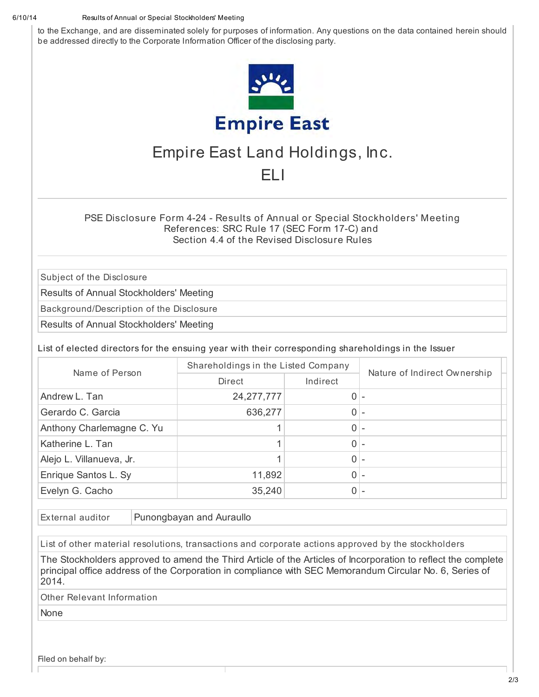### 6/10/14 Results of Annual or Special Stockholders' Meeting

to the Exchange, and are disseminated solely for purposes of information. Any questions on the data contained herein should be addressed directly to the Corporate Information Officer of the disclosing party.



# Empire East Land Holdings, Inc.

### ELI

PSE Disclosure Form 4-24 - Results of Annual or Special Stockholders' Meeting References: SRC Rule 17 (SEC Form 17-C) and Section 4.4 of the Revised Disclosure Rules

Subject of the Disclosure

Results of Annual Stockholders' Meeting

Background/Description of the Disclosure

Results of Annual Stockholders' Meeting

List of elected directors for the ensuing year with their corresponding shareholdings in the Issuer

| Name of Person            | Shareholdings in the Listed Company |          | Nature of Indirect Ownership |
|---------------------------|-------------------------------------|----------|------------------------------|
|                           | Direct                              | Indirect |                              |
| Andrew L. Tan             | 24, 277, 777                        | $0 -$    |                              |
| Gerardo C. Garcia         | 636,277                             | 0        |                              |
| Anthony Charlemagne C. Yu |                                     | $\Omega$ |                              |
| Katherine L. Tan          |                                     | $\Omega$ |                              |
| Alejo L. Villanueva, Jr.  |                                     | 0        |                              |
| Enrique Santos L. Sy      | 11,892                              | 0        |                              |
| Evelyn G. Cacho           | 35,240                              | 0        |                              |

 $External$  auditor  $|P$ unongbayan and Auraullo

List of other material resolutions, transactions and corporate actions approved by the stockholders

The Stockholders approved to amend the Third Article of the Articles of Incorporation to reflect the complete principal office address of the Corporation in compliance with SEC Memorandum Circular No. 6, Series of 2014.

Other Relevant Information

None

Filed on behalf by: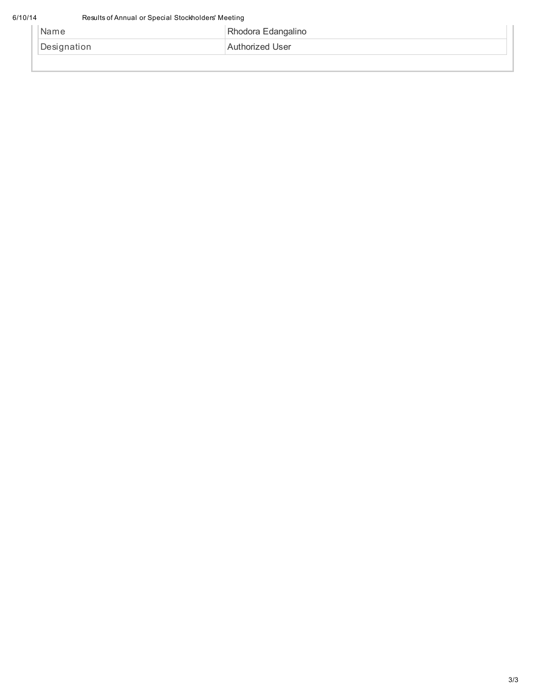| 'Name       | Rhodora Edangalino |  |
|-------------|--------------------|--|
| Designation | Authorized User    |  |
|             |                    |  |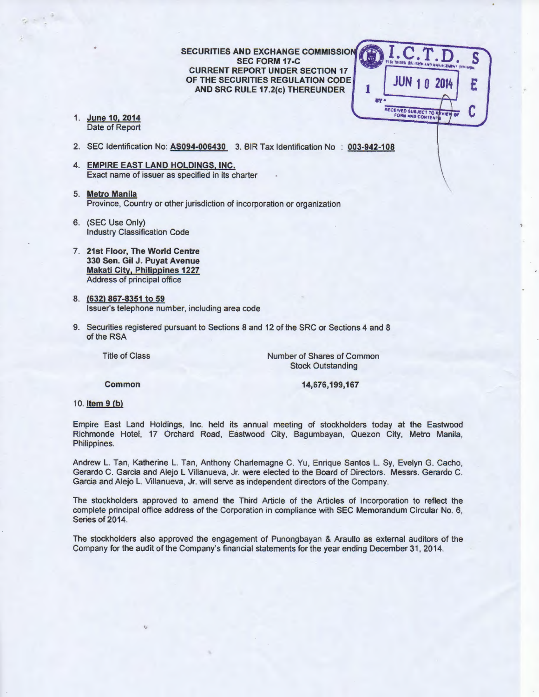**SECURITIES AND EXCHANGE COMMISSION SEC FORM 17-C CURRENT REPORT UNDER SECTION 17 OF THE SECURITIES REGULATION CODE AND SRC RULE 17.2(c) THEREUNDER** 

S **<sup>1</sup>JUN 1 0 2014**  E **ay:** RECEIVED SUBJECT TO REVIEW

**1. June 10, 2014**  Date of Report

..

- 2. SEC Identification No: **AS094-006430** 3. BIR Tax Identification No **003-942-108**
- **4. EMPIRE EAST LAND HOLDINGS, INC.**  Exact name of issuer as specified in its charter
- 5. **Metro Manila**  Province, Country or other jurisdiction of incorporation or organization
- 6. (SEC Use Only) Industry Classification Code
- 7. **21st Floor, The World Centre 330 Sen. Gil J. Puyat Avenue Makati City. Philippines 1227**  Address of principal office
- 8. **(632) 867-8351 to 59**  Issuer's telephone number, including area code
- 9. Securities registered pursuant to Sections 8 and 12 of the SRC or Sections 4 and 8 of the RSA

Title of Class

Number of Shares of Common Stock Outstanding

**Common** 

**14,676,199,167** 

1 0. **Item 9 (b)** 

Empire East Land Holdings, Inc. held its annual meeting of stockholders today at the Eastwood Richmonde Hotel, 17 Orchard Road, Eastwood City, Bagumbayan, Quezon City, Metro Manila, Philippines.

Andrew L. Tan, Katherine L. Tan, Anthony Charlemagne C. Yu, Enrique Santos L. Sy, Evelyn G. Cacho, Gerardo C. Garcia and Alejo L Villanueva, Jr. were elected to the Board of Directors. Messrs. Gerardo C. Garcia and Alejo L. Villanueva, Jr. will serve as independent directors of the Company.

The stockholders approved to amend the Third Article of the Articles of Incorporation to reflect the complete principal office address of the Corporation in compliance with SEC Memorandum Circular No. 6, Series of 2014.

The stockholders also approved the engagement of Punongbayan & Araullo as external auditors of the Company for the audit of the Company's financial statements for the year ending December 31, 2014.